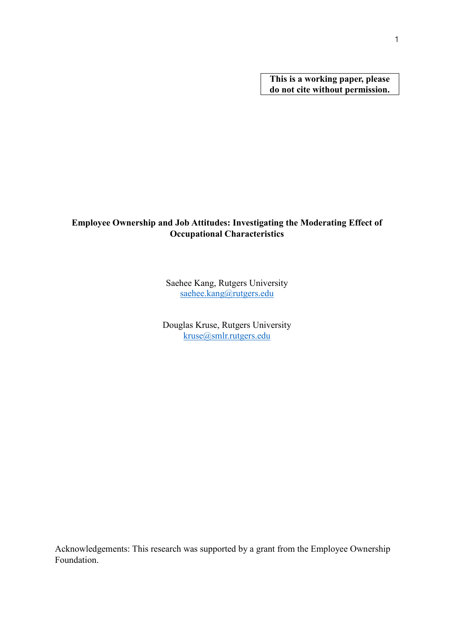**This is a working paper, please do not cite without permission.** 

# **Employee Ownership and Job Attitudes: Investigating the Moderating Effect of Occupational Characteristics**

Saehee Kang, Rutgers University [saehee.kang@rutgers.edu](mailto:saehee.kang@rutgers.edu)

Douglas Kruse, Rutgers University [kruse@smlr.rutgers.edu](mailto:kruse@smlr.rutgers.edu)

Acknowledgements: This research was supported by a grant from the Employee Ownership Foundation.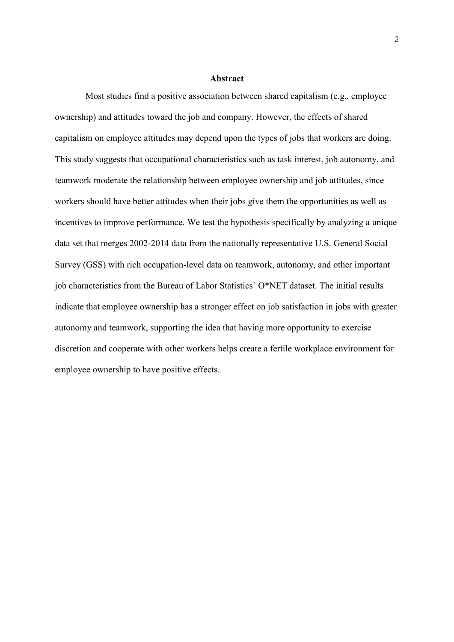#### **Abstract**

Most studies find a positive association between shared capitalism (e.g., employee ownership) and attitudes toward the job and company. However, the effects of shared capitalism on employee attitudes may depend upon the types of jobs that workers are doing. This study suggests that occupational characteristics such as task interest, job autonomy, and teamwork moderate the relationship between employee ownership and job attitudes, since workers should have better attitudes when their jobs give them the opportunities as well as incentives to improve performance. We test the hypothesis specifically by analyzing a unique data set that merges 2002-2014 data from the nationally representative U.S. General Social Survey (GSS) with rich occupation-level data on teamwork, autonomy, and other important job characteristics from the Bureau of Labor Statistics' O\*NET dataset. The initial results indicate that employee ownership has a stronger effect on job satisfaction in jobs with greater autonomy and teamwork, supporting the idea that having more opportunity to exercise discretion and cooperate with other workers helps create a fertile workplace environment for employee ownership to have positive effects.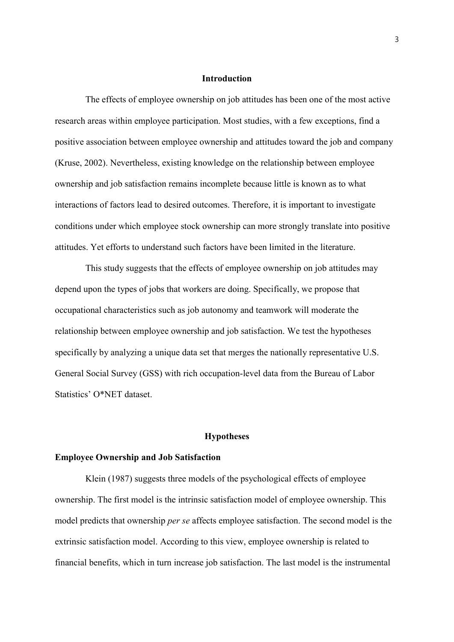#### **Introduction**

The effects of employee ownership on job attitudes has been one of the most active research areas within employee participation. Most studies, with a few exceptions, find a positive association between employee ownership and attitudes toward the job and company (Kruse, 2002). Nevertheless, existing knowledge on the relationship between employee ownership and job satisfaction remains incomplete because little is known as to what interactions of factors lead to desired outcomes. Therefore, it is important to investigate conditions under which employee stock ownership can more strongly translate into positive attitudes. Yet efforts to understand such factors have been limited in the literature.

This study suggests that the effects of employee ownership on job attitudes may depend upon the types of jobs that workers are doing. Specifically, we propose that occupational characteristics such as job autonomy and teamwork will moderate the relationship between employee ownership and job satisfaction. We test the hypotheses specifically by analyzing a unique data set that merges the nationally representative U.S. General Social Survey (GSS) with rich occupation-level data from the Bureau of Labor Statistics' O\*NET dataset.

#### **Hypotheses**

## **Employee Ownership and Job Satisfaction**

Klein (1987) suggests three models of the psychological effects of employee ownership. The first model is the intrinsic satisfaction model of employee ownership. This model predicts that ownership *per se* affects employee satisfaction. The second model is the extrinsic satisfaction model. According to this view, employee ownership is related to financial benefits, which in turn increase job satisfaction. The last model is the instrumental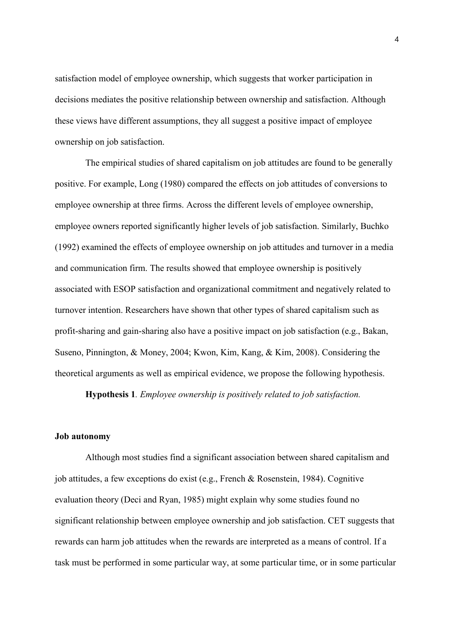satisfaction model of employee ownership, which suggests that worker participation in decisions mediates the positive relationship between ownership and satisfaction. Although these views have different assumptions, they all suggest a positive impact of employee ownership on job satisfaction.

The empirical studies of shared capitalism on job attitudes are found to be generally positive. For example, Long (1980) compared the effects on job attitudes of conversions to employee ownership at three firms. Across the different levels of employee ownership, employee owners reported significantly higher levels of job satisfaction. Similarly, Buchko (1992) examined the effects of employee ownership on job attitudes and turnover in a media and communication firm. The results showed that employee ownership is positively associated with ESOP satisfaction and organizational commitment and negatively related to turnover intention. Researchers have shown that other types of shared capitalism such as profit-sharing and gain-sharing also have a positive impact on job satisfaction (e.g., Bakan, Suseno, Pinnington, & Money, 2004; Kwon, Kim, Kang, & Kim, 2008). Considering the theoretical arguments as well as empirical evidence, we propose the following hypothesis.

**Hypothesis 1***. Employee ownership is positively related to job satisfaction.* 

#### **Job autonomy**

Although most studies find a significant association between shared capitalism and job attitudes, a few exceptions do exist (e.g., French & Rosenstein, 1984). Cognitive evaluation theory (Deci and Ryan, 1985) might explain why some studies found no significant relationship between employee ownership and job satisfaction. CET suggests that rewards can harm job attitudes when the rewards are interpreted as a means of control. If a task must be performed in some particular way, at some particular time, or in some particular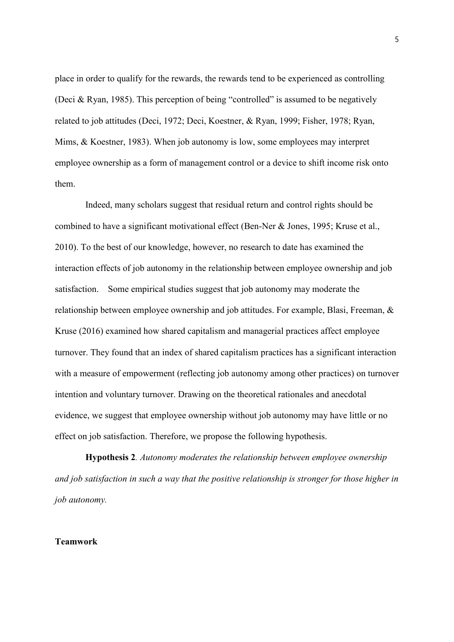place in order to qualify for the rewards, the rewards tend to be experienced as controlling (Deci & Ryan, 1985). This perception of being "controlled" is assumed to be negatively related to job attitudes (Deci, 1972; Deci, Koestner, & Ryan, 1999; Fisher, 1978; Ryan, Mims, & Koestner, 1983). When job autonomy is low, some employees may interpret employee ownership as a form of management control or a device to shift income risk onto them.

Indeed, many scholars suggest that residual return and control rights should be combined to have a significant motivational effect (Ben-Ner & Jones, 1995; Kruse et al., 2010). To the best of our knowledge, however, no research to date has examined the interaction effects of job autonomy in the relationship between employee ownership and job satisfaction. Some empirical studies suggest that job autonomy may moderate the relationship between employee ownership and job attitudes. For example, Blasi, Freeman, & Kruse (2016) examined how shared capitalism and managerial practices affect employee turnover. They found that an index of shared capitalism practices has a significant interaction with a measure of empowerment (reflecting job autonomy among other practices) on turnover intention and voluntary turnover. Drawing on the theoretical rationales and anecdotal evidence, we suggest that employee ownership without job autonomy may have little or no effect on job satisfaction. Therefore, we propose the following hypothesis.

**Hypothesis 2***. Autonomy moderates the relationship between employee ownership and job satisfaction in such a way that the positive relationship is stronger for those higher in job autonomy.*

# **Teamwork**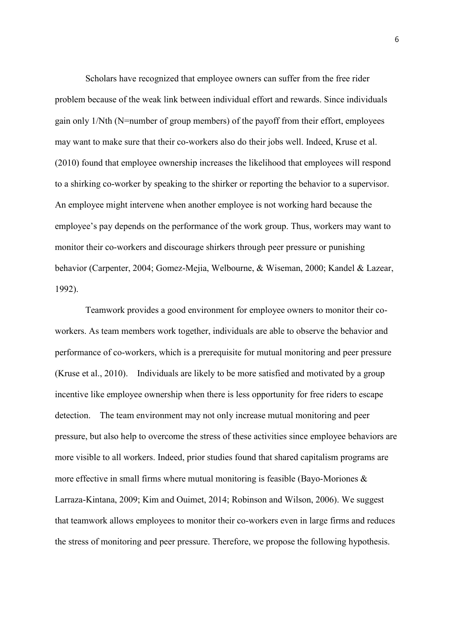Scholars have recognized that employee owners can suffer from the free rider problem because of the weak link between individual effort and rewards. Since individuals gain only 1/Nth (N=number of group members) of the payoff from their effort, employees may want to make sure that their co-workers also do their jobs well. Indeed, Kruse et al. (2010) found that employee ownership increases the likelihood that employees will respond to a shirking co-worker by speaking to the shirker or reporting the behavior to a supervisor. An employee might intervene when another employee is not working hard because the employee's pay depends on the performance of the work group. Thus, workers may want to monitor their co-workers and discourage shirkers through peer pressure or punishing behavior (Carpenter, 2004; Gomez-Mejia, Welbourne, & Wiseman, 2000; Kandel & Lazear, 1992).

Teamwork provides a good environment for employee owners to monitor their coworkers. As team members work together, individuals are able to observe the behavior and performance of co-workers, which is a prerequisite for mutual monitoring and peer pressure (Kruse et al., 2010). Individuals are likely to be more satisfied and motivated by a group incentive like employee ownership when there is less opportunity for free riders to escape detection. The team environment may not only increase mutual monitoring and peer pressure, but also help to overcome the stress of these activities since employee behaviors are more visible to all workers. Indeed, prior studies found that shared capitalism programs are more effective in small firms where mutual monitoring is feasible (Bayo-Moriones  $\&$ Larraza-Kintana, 2009; Kim and Ouimet, 2014; Robinson and Wilson, 2006). We suggest that teamwork allows employees to monitor their co-workers even in large firms and reduces the stress of monitoring and peer pressure. Therefore, we propose the following hypothesis.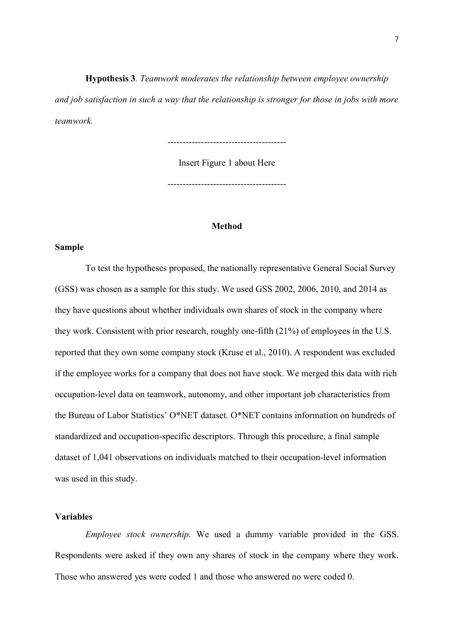**Hypothesis 3***. Teamwork moderates the relationship between employee ownership and job satisfaction in such a way that the relationship is stronger for those in jobs with more teamwork.*

---------------------------------------

Insert Figure 1 about Here

---------------------------------------

## **Method**

# **Sample**

To test the hypotheses proposed, the nationally representative General Social Survey (GSS) was chosen as a sample for this study. We used GSS 2002, 2006, 2010, and 2014 as they have questions about whether individuals own shares of stock in the company where they work. Consistent with prior research, roughly one-fifth (21%) of employees in the U.S. reported that they own some company stock (Kruse et al., 2010). A respondent was excluded if the employee works for a company that does not have stock. We merged this data with rich occupation-level data on teamwork, autonomy, and other important job characteristics from the Bureau of Labor Statistics' O\*NET dataset. O\*NET contains information on hundreds of standardized and occupation-specific descriptors. Through this procedure, a final sample dataset of 1,041 observations on individuals matched to their occupation-level information was used in this study.

# **Variables**

*Employee stock ownership.* We used a dummy variable provided in the GSS. Respondents were asked if they own any shares of stock in the company where they work. Those who answered yes were coded 1 and those who answered no were coded 0.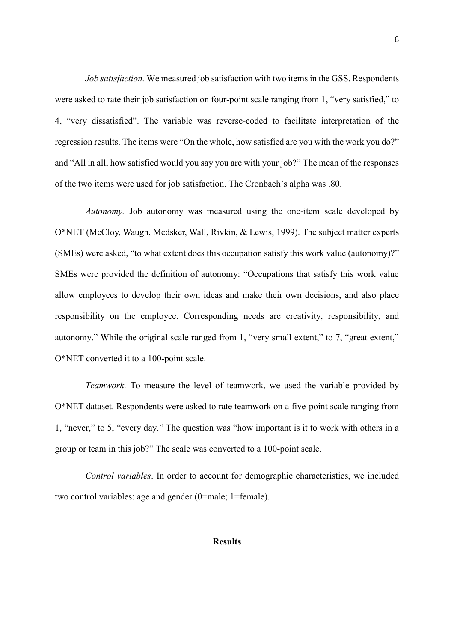*Job satisfaction.* We measured job satisfaction with two items in the GSS. Respondents were asked to rate their job satisfaction on four-point scale ranging from 1, "very satisfied," to 4, "very dissatisfied". The variable was reverse-coded to facilitate interpretation of the regression results. The items were "On the whole, how satisfied are you with the work you do?" and "All in all, how satisfied would you say you are with your job?" The mean of the responses of the two items were used for job satisfaction. The Cronbach's alpha was .80.

*Autonomy.* Job autonomy was measured using the one-item scale developed by O\*NET (McCloy, Waugh, Medsker, Wall, Rivkin, & Lewis, 1999). The subject matter experts (SMEs) were asked, "to what extent does this occupation satisfy this work value (autonomy)?" SMEs were provided the definition of autonomy: "Occupations that satisfy this work value allow employees to develop their own ideas and make their own decisions, and also place responsibility on the employee. Corresponding needs are creativity, responsibility, and autonomy." While the original scale ranged from 1, "very small extent," to 7, "great extent," O\*NET converted it to a 100-point scale.

*Teamwork*. To measure the level of teamwork, we used the variable provided by O\*NET dataset. Respondents were asked to rate teamwork on a five-point scale ranging from 1, "never," to 5, "every day." The question was "how important is it to work with others in a group or team in this job?" The scale was converted to a 100-point scale.

*Control variables*. In order to account for demographic characteristics, we included two control variables: age and gender (0=male; 1=female).

### **Results**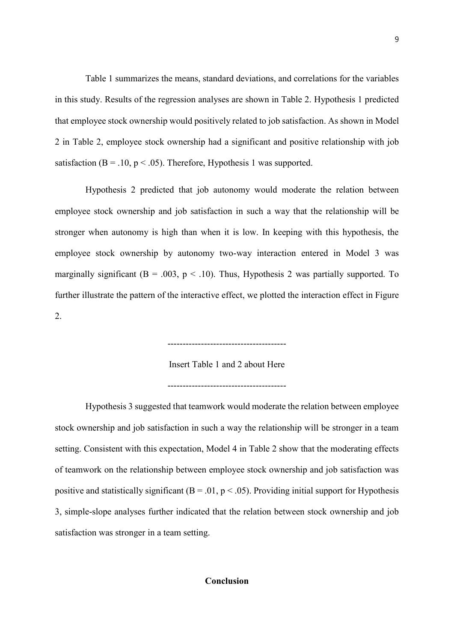Table 1 summarizes the means, standard deviations, and correlations for the variables in this study. Results of the regression analyses are shown in Table 2. Hypothesis 1 predicted that employee stock ownership would positively related to job satisfaction. As shown in Model 2 in Table 2, employee stock ownership had a significant and positive relationship with job satisfaction ( $B = 0.10$ ,  $p < 0.05$ ). Therefore, Hypothesis 1 was supported.

Hypothesis 2 predicted that job autonomy would moderate the relation between employee stock ownership and job satisfaction in such a way that the relationship will be stronger when autonomy is high than when it is low. In keeping with this hypothesis, the employee stock ownership by autonomy two-way interaction entered in Model 3 was marginally significant ( $B = .003$ ,  $p < .10$ ). Thus, Hypothesis 2 was partially supported. To further illustrate the pattern of the interactive effect, we plotted the interaction effect in Figure 2.

 $-$ 

Insert Table 1 and 2 about Here

---------------------------------------

Hypothesis 3 suggested that teamwork would moderate the relation between employee stock ownership and job satisfaction in such a way the relationship will be stronger in a team setting. Consistent with this expectation, Model 4 in Table 2 show that the moderating effects of teamwork on the relationship between employee stock ownership and job satisfaction was positive and statistically significant ( $B = .01$ ,  $p < .05$ ). Providing initial support for Hypothesis 3, simple-slope analyses further indicated that the relation between stock ownership and job satisfaction was stronger in a team setting.

# **Conclusion**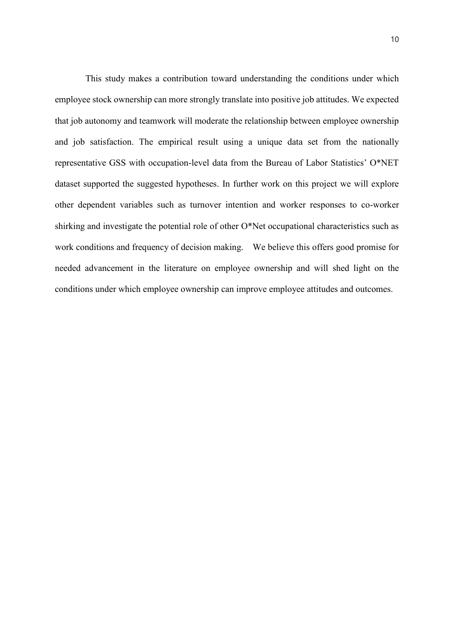This study makes a contribution toward understanding the conditions under which employee stock ownership can more strongly translate into positive job attitudes. We expected that job autonomy and teamwork will moderate the relationship between employee ownership and job satisfaction. The empirical result using a unique data set from the nationally representative GSS with occupation-level data from the Bureau of Labor Statistics' O\*NET dataset supported the suggested hypotheses. In further work on this project we will explore other dependent variables such as turnover intention and worker responses to co-worker shirking and investigate the potential role of other O\*Net occupational characteristics such as work conditions and frequency of decision making. We believe this offers good promise for needed advancement in the literature on employee ownership and will shed light on the conditions under which employee ownership can improve employee attitudes and outcomes.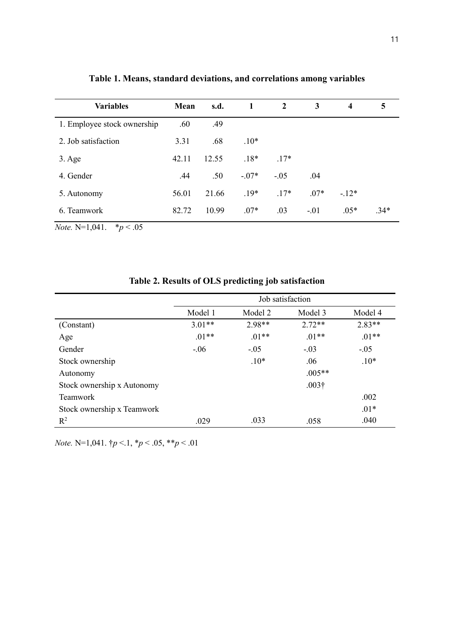| <b>Variables</b>            | Mean  | s.d.  | 1       | 2      | 3      | 4      | 5      |
|-----------------------------|-------|-------|---------|--------|--------|--------|--------|
| 1. Employee stock ownership | .60   | .49   |         |        |        |        |        |
| 2. Job satisfaction         | 3.31  | .68   | $.10*$  |        |        |        |        |
| $3. \text{Age}$             | 42.11 | 12.55 | $.18*$  | $.17*$ |        |        |        |
| 4. Gender                   | .44   | .50   | $-.07*$ | $-.05$ | .04    |        |        |
| 5. Autonomy                 | 56.01 | 21.66 | $.19*$  | $.17*$ | $.07*$ | $-12*$ |        |
| 6. Teamwork                 | 82.72 | 10.99 | $.07*$  | .03    | $-.01$ | $.05*$ | $.34*$ |

**Table 1. Means, standard deviations, and correlations among variables**

*Note.* N=1,041. \**p* < .05

|                            | Job satisfaction |          |               |          |  |  |  |
|----------------------------|------------------|----------|---------------|----------|--|--|--|
|                            | Model 1          | Model 2  | Model 3       | Model 4  |  |  |  |
| (Constant)                 | $3.01**$         | $2.98**$ | $2.72**$      | $2.83**$ |  |  |  |
| Age                        | $.01**$          | $.01**$  | $.01**$       | $.01**$  |  |  |  |
| Gender                     | $-.06$           | $-.05$   | $-.03$        | $-.05$   |  |  |  |
| Stock ownership            |                  | $.10*$   | .06           | $.10*$   |  |  |  |
| Autonomy                   |                  |          | $.005**$      |          |  |  |  |
| Stock ownership x Autonomy |                  |          | $.003\dagger$ |          |  |  |  |
| <b>Teamwork</b>            |                  |          |               | .002     |  |  |  |
| Stock ownership x Teamwork |                  |          |               | $.01*$   |  |  |  |
| $R^2$                      | .029             | .033     | .058          | .040     |  |  |  |

**Table 2. Results of OLS predicting job satisfaction**

*Note.* N=1,041. †*p* <.1, \**p* < .05, \*\**p* < .01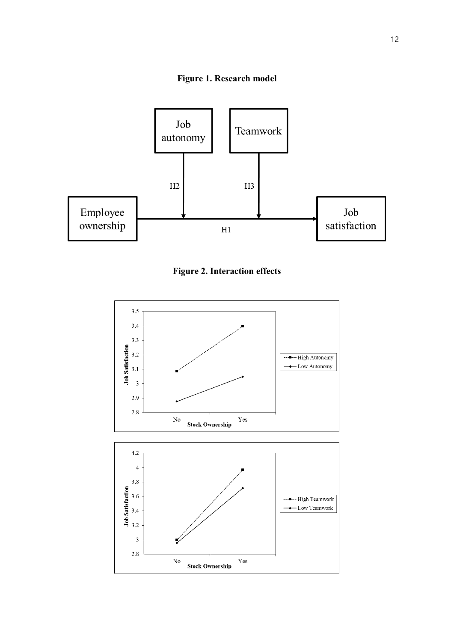



**Figure 2. Interaction effects**

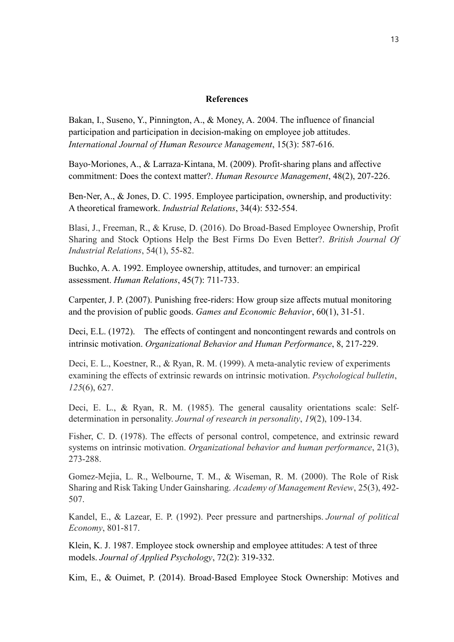## **References**

Bakan, I., Suseno, Y., Pinnington, A., & Money, A. 2004. The influence of financial participation and participation in decision-making on employee job attitudes. *International Journal of Human Resource Management*, 15(3): 587-616.

Bayo‐Moriones, A., & Larraza‐Kintana, M. (2009). Profit‐sharing plans and affective commitment: Does the context matter?. *Human Resource Management*, 48(2), 207-226.

Ben-Ner, A., & Jones, D. C. 1995. Employee participation, ownership, and productivity: A theoretical framework. *Industrial Relations*, 34(4): 532-554.

Blasi, J., Freeman, R., & Kruse, D. (2016). Do Broad-Based Employee Ownership, Profit Sharing and Stock Options Help the Best Firms Do Even Better?. *British Journal Of Industrial Relations*, 54(1), 55-82.

Buchko, A. A. 1992. Employee ownership, attitudes, and turnover: an empirical assessment. *Human Relations*, 45(7): 711-733.

Carpenter, J. P. (2007). Punishing free-riders: How group size affects mutual monitoring and the provision of public goods. *Games and Economic Behavior*, 60(1), 31-51.

Deci, E.L. (1972). The effects of contingent and noncontingent rewards and controls on intrinsic motivation. *Organizational Behavior and Human Performance*, 8, 217-229.

Deci, E. L., Koestner, R., & Ryan, R. M. (1999). A meta-analytic review of experiments examining the effects of extrinsic rewards on intrinsic motivation. *Psychological bulletin*, *125*(6), 627.

Deci, E. L., & Ryan, R. M. (1985). The general causality orientations scale: Selfdetermination in personality. *Journal of research in personality*, *19*(2), 109-134.

Fisher, C. D. (1978). The effects of personal control, competence, and extrinsic reward systems on intrinsic motivation. *Organizational behavior and human performance*, 21(3), 273-288.

Gomez-Mejia, L. R., Welbourne, T. M., & Wiseman, R. M. (2000). The Role of Risk Sharing and Risk Taking Under Gainsharing. *Academy of Management Review*, 25(3), 492- 507.

Kandel, E., & Lazear, E. P. (1992). Peer pressure and partnerships. *Journal of political Economy*, 801-817.

Klein, K. J. 1987. Employee stock ownership and employee attitudes: A test of three models. *Journal of Applied Psychology*, 72(2): 319-332.

Kim, E., & Ouimet, P. (2014). Broad‐Based Employee Stock Ownership: Motives and